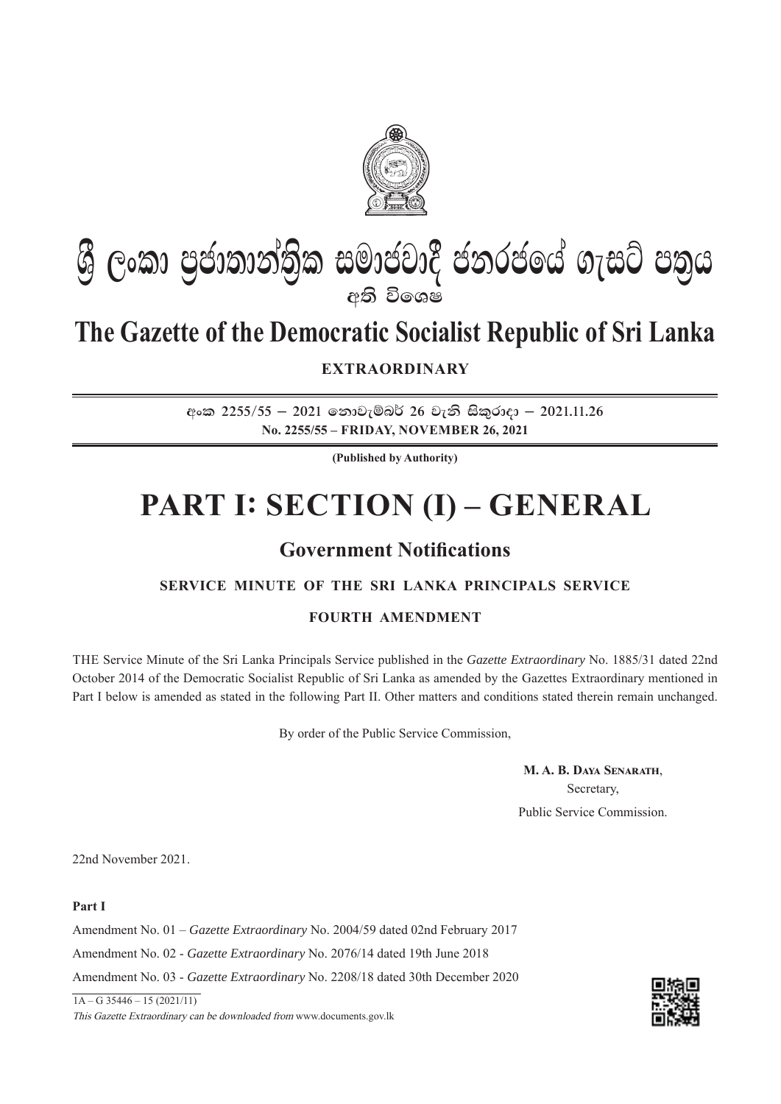

# **ශී ලංකා පුජාතාන්තික සමාජවාදී ජනරජයේ ගැසට් පතුය eති විශෙෂ**

## **The Gazette of the Democratic Socialist Republic of Sri Lanka**

**EXTRAORDINARY**

**wxl 2255\$55 – 2021 fkdjeïn¾ 26 jeks isl=rdod – 2021'11'26 No. 2255/55 – FRIDAY, NOVEMBER 26, 2021**

**(Published by Authority)**

# **PART I: SECTION (I) – GENERAL**

## **Government Notifications**

## **SERVICE MINUTE OF THE SRI LANKA PRINCIPALS SERVICE**

## **FOURTH AMENDMENT**

THE Service Minute of the Sri Lanka Principals Service published in the *Gazette Extraordinary* No. 1885/31 dated 22nd October 2014 of the Democratic Socialist Republic of Sri Lanka as amended by the Gazettes Extraordinary mentioned in Part I below is amended as stated in the following Part II. Other matters and conditions stated therein remain unchanged.

By order of the Public Service Commission,

**M. A. B. DAYA SENARATH,** Secretary, Public Service Commission.

22nd November 2021.

**Part I**

Amendment No. 01 – *Gazette Extraordinary* No. 2004/59 dated 02nd February 2017

Amendment No. 02 - *Gazette Extraordinary* No. 2076/14 dated 19th June 2018

Amendment No. 03 - *Gazette Extraordinary* No. 2208/18 dated 30th December 2020

 $1A - G$  35446 – 15 (2021/11)

This Gazette Extraordinary can be downloaded from www.documents.gov.lk